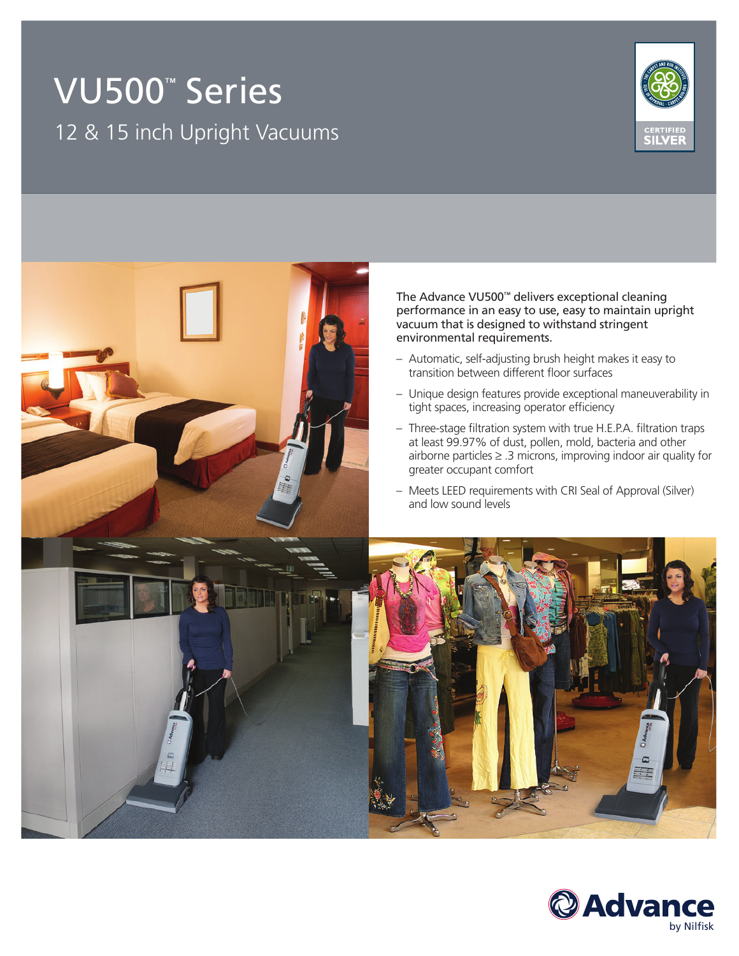# VU500™ Series 12 & 15 inch Upright Vacuums





The Advance VU500™ delivers exceptional cleaning performance in an easy to use, easy to maintain upright vacuum that is designed to withstand stringent

- Automatic, self-adjusting brush height makes it easy to transition between different floor surfaces
- Unique design features provide exceptional maneuverability in tight spaces, increasing operator efficiency
- Three-stage filtration system with true H.E.P.A. filtration traps at least 99.97% of dust, pollen, mold, bacteria and other airborne particles ≥ .3 microns, improving indoor air quality for
- Meets LEED requirements with CRI Seal of Approval (Silver)